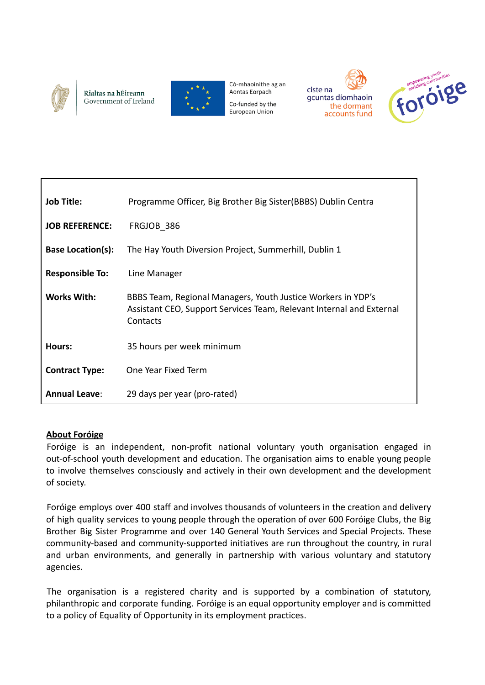

Г

Rialtas na hÉireann Government of Ireland



Có-mhaoinithe ag an Aontas Eorpach

Co-funded by the European Union





| <b>Job Title:</b>        | Programme Officer, Big Brother Big Sister (BBBS) Dublin Centra                                                                                   |
|--------------------------|--------------------------------------------------------------------------------------------------------------------------------------------------|
| <b>JOB REFERENCE:</b>    | FRGJOB 386                                                                                                                                       |
| <b>Base Location(s):</b> | The Hay Youth Diversion Project, Summerhill, Dublin 1                                                                                            |
| <b>Responsible To:</b>   | Line Manager                                                                                                                                     |
| <b>Works With:</b>       | BBBS Team, Regional Managers, Youth Justice Workers in YDP's<br>Assistant CEO, Support Services Team, Relevant Internal and External<br>Contacts |
| Hours:                   | 35 hours per week minimum                                                                                                                        |
| <b>Contract Type:</b>    | One Year Fixed Term                                                                                                                              |
| <b>Annual Leave:</b>     | 29 days per year (pro-rated)                                                                                                                     |

#### **About Foróige**

Foróige is an independent, non-profit national voluntary youth organisation engaged in out-of-school youth development and education. The organisation aims to enable young people to involve themselves consciously and actively in their own development and the development of society.

Foróige employs over 400 staff and involves thousands of volunteers in the creation and delivery of high quality services to young people through the operation of over 600 Foróige Clubs, the Big Brother Big Sister Programme and over 140 General Youth Services and Special Projects. These community-based and community-supported initiatives are run throughout the country, in rural and urban environments, and generally in partnership with various voluntary and statutory agencies.

The organisation is a registered charity and is supported by a combination of statutory, philanthropic and corporate funding. Foróige is an equal opportunity employer and is committed to a policy of Equality of Opportunity in its employment practices.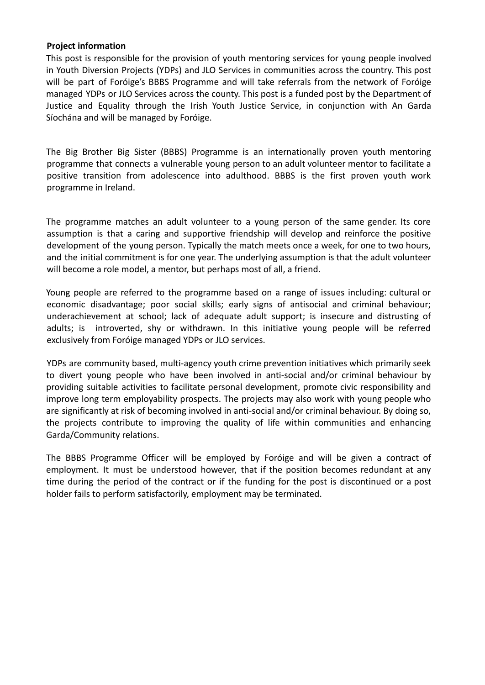#### **Project information**

This post is responsible for the provision of youth mentoring services for young people involved in Youth Diversion Projects (YDPs) and JLO Services in communities across the country. This post will be part of Foróige's BBBS Programme and will take referrals from the network of Foróige managed YDPs or JLO Services across the county. This post is a funded post by the Department of Justice and Equality through the Irish Youth Justice Service, in conjunction with An Garda Síochána and will be managed by Foróige.

The Big Brother Big Sister (BBBS) Programme is an internationally proven youth mentoring programme that connects a vulnerable young person to an adult volunteer mentor to facilitate a positive transition from adolescence into adulthood. BBBS is the first proven youth work programme in Ireland.

The programme matches an adult volunteer to a young person of the same gender. Its core assumption is that a caring and supportive friendship will develop and reinforce the positive development of the young person. Typically the match meets once a week, for one to two hours, and the initial commitment is for one year. The underlying assumption is that the adult volunteer will become a role model, a mentor, but perhaps most of all, a friend.

Young people are referred to the programme based on a range of issues including: cultural or economic disadvantage; poor social skills; early signs of antisocial and criminal behaviour; underachievement at school; lack of adequate adult support; is insecure and distrusting of adults; is introverted, shy or withdrawn. In this initiative young people will be referred exclusively from Foróige managed YDPs or JLO services.

YDPs are community based, multi-agency youth crime prevention initiatives which primarily seek to divert young people who have been involved in anti-social and/or criminal behaviour by providing suitable activities to facilitate personal development, promote civic responsibility and improve long term employability prospects. The projects may also work with young people who are significantly at risk of becoming involved in anti-social and/or criminal behaviour. By doing so, the projects contribute to improving the quality of life within communities and enhancing Garda/Community relations.

The BBBS Programme Officer will be employed by Foróige and will be given a contract of employment. It must be understood however, that if the position becomes redundant at any time during the period of the contract or if the funding for the post is discontinued or a post holder fails to perform satisfactorily, employment may be terminated.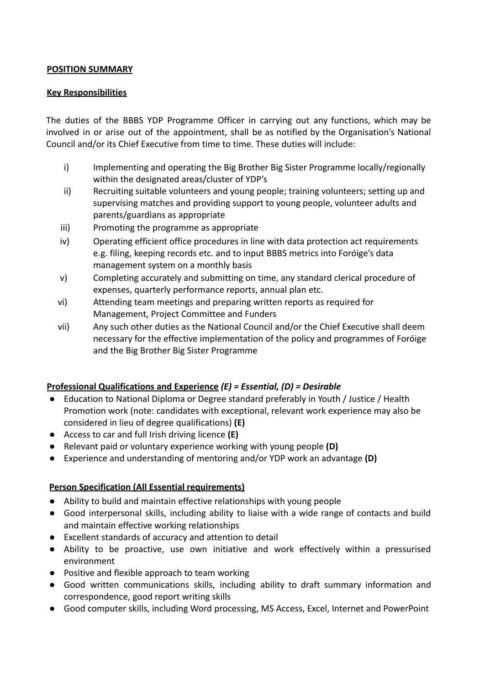### **POSITION SUMMARY**

### **Key Responsibilities**

The duties of the BBBS YDP Programme Officer in carrying out any functions, which may be involved in or arise out of the appointment, shall be as notified by the Organisation's National Council and/or its Chief Executive from time to time. These duties will include:

- i) Implementing and operating the Big Brother Big Sister Programme locally/regionally within the designated areas/cluster of YDP's
- ii) Recruiting suitable volunteers and young people; training volunteers; setting up and supervising matches and providing support to young people, volunteer adults and parents/guardians as appropriate
- iii) Promoting the programme as appropriate
- iv) Operating efficient office procedures in line with data protection act requirements e.g. filing, keeping records etc. and to input BBBS metrics into Foróige's data management system on a monthly basis
- v) Completing accurately and submitting on time, any standard clerical procedure of expenses, quarterly performance reports, annual plan etc.
- vi) Attending team meetings and preparing written reports as required for Management, Project Committee and Funders
- vii) Any such other duties as the National Council and/or the Chief Executive shall deem necessary for the effective implementation of the policy and programmes of Foróige and the Big Brother Big Sister Programme

## **Professional Qualifications and Experience** *(E) = Essential, (D) = Desirable*

- **●** Education to National Diploma or Degree standard preferably in Youth / Justice / Health Promotion work (note: candidates with exceptional, relevant work experience may also be considered in lieu of degree qualifications) **(E)**
- **●** Access to car and full Irish driving licence **(E)**
- **●** Relevant paid or voluntary experience working with young people **(D)**
- **●** Experience and understanding of mentoring and/or YDP work an advantage **(D)**

## **Person Specification (All Essential requirements)**

- **●** Ability to build and maintain effective relationships with young people
- Good interpersonal skills, including ability to liaise with a wide range of contacts and build and maintain effective working relationships
- Excellent standards of accuracy and attention to detail
- Ability to be proactive, use own initiative and work effectively within a pressurised environment
- Positive and flexible approach to team working
- Good written communications skills, including ability to draft summary information and correspondence, good report writing skills
- Good computer skills, including Word processing, MS Access, Excel, Internet and PowerPoint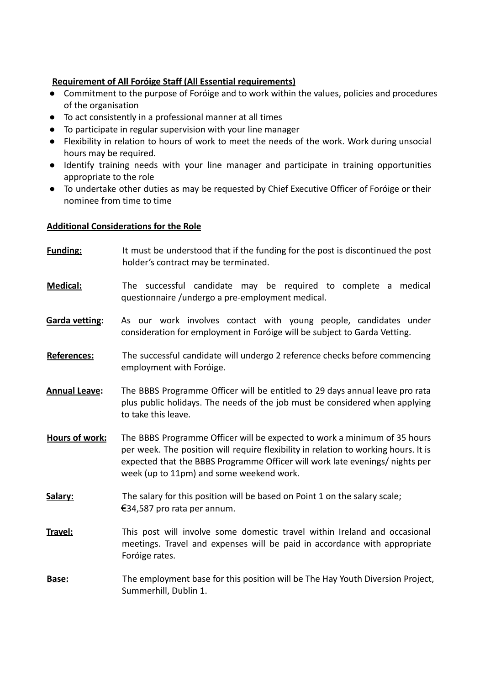# **Requirement of All Foróige Staff (All Essential requirements)**

- **●** Commitment to the purpose of Foróige and to work within the values, policies and procedures of the organisation
- To act consistently in a professional manner at all times
- To participate in regular supervision with your line manager
- Flexibility in relation to hours of work to meet the needs of the work. Work during unsocial hours may be required.
- Identify training needs with your line manager and participate in training opportunities appropriate to the role
- To undertake other duties as may be requested by Chief Executive Officer of Foróige or their nominee from time to time

## **Additional Considerations for the Role**

- **Funding:** It must be understood that if the funding for the post is discontinued the post holder's contract may be terminated.
- **Medical:** The successful candidate may be required to complete a medical questionnaire /undergo a pre-employment medical.
- **Garda vetting:** As our work involves contact with young people, candidates under consideration for employment in Foróige will be subject to Garda Vetting.
- **References:** The successful candidate will undergo 2 reference checks before commencing employment with Foróige.
- **Annual Leave:** The BBBS Programme Officer will be entitled to 29 days annual leave pro rata plus public holidays. The needs of the job must be considered when applying to take this leave.
- **Hours of work:** The BBBS Programme Officer will be expected to work a minimum of 35 hours per week. The position will require flexibility in relation to working hours. It is expected that the BBBS Programme Officer will work late evenings/ nights per week (up to 11pm) and some weekend work.
- Salary: The salary for this position will be based on Point 1 on the salary scale; €34,587 pro rata per annum.
- **Travel:** This post will involve some domestic travel within Ireland and occasional meetings. Travel and expenses will be paid in accordance with appropriate Foróige rates.
- **Base:** The employment base for this position will be The Hay Youth Diversion Project, Summerhill, Dublin 1.